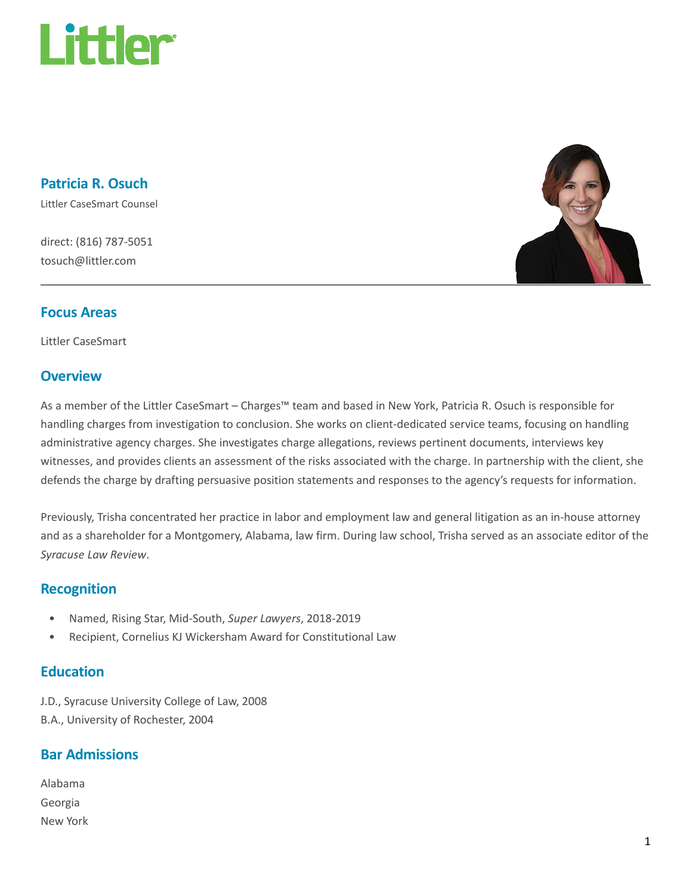

Patricia R. Osuch

Littler CaseSmart Counsel

direct: (816) 787-5051 tosuch@littler.com



#### Focus Areas

Littler CaseSmart

#### **Overview**

As a member of the Littler CaseSmart – Charges™ team and based in New York, Patricia R. Osuch is responsible for handling charges from investigation to conclusion. She works on client-dedicated service teams, focusing on handling administrative agency charges. She investigates charge allegations, reviews pertinent documents, interviews key witnesses, and provides clients an assessment of the risks associated with the charge. In partnership with the client, she defends the charge by drafting persuasive position statements and responses to the agency's requests for information.

Previously, Trisha concentrated her practice in labor and employment law and general litigation as an in-house attorney and as a shareholder for a Montgomery, Alabama, law firm. During law school, Trisha served as an associate editor of the Syracuse Law Review.

#### Recognition

- Named, Rising Star, Mid-South, Super Lawyers, 2018-2019
- Recipient, Cornelius KJ Wickersham Award for Constitutional Law

### **Education**

J.D., Syracuse University College of Law, 2008 B.A., University of Rochester, 2004

## Bar Admissions

| Alabama  |
|----------|
| Georgia  |
| New York |